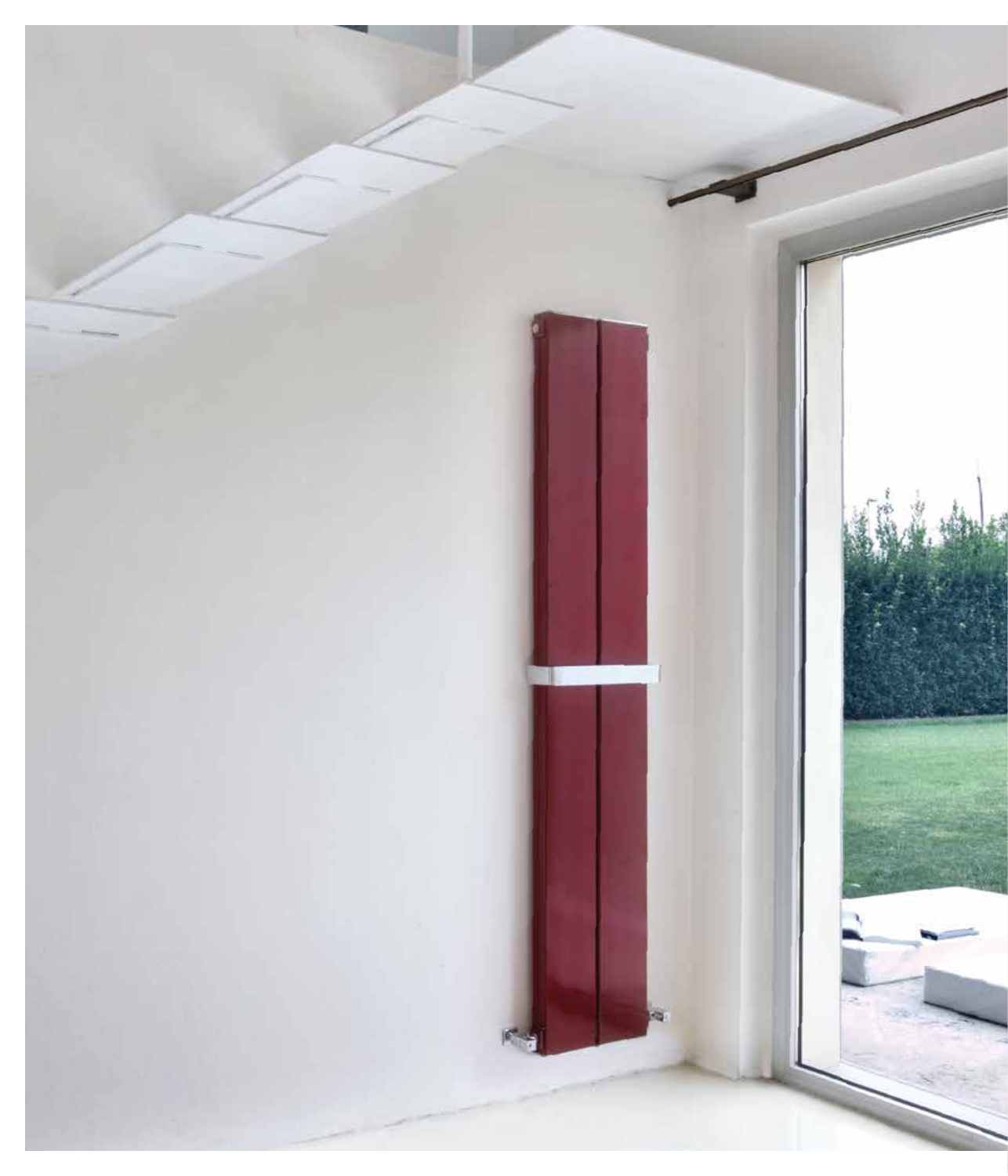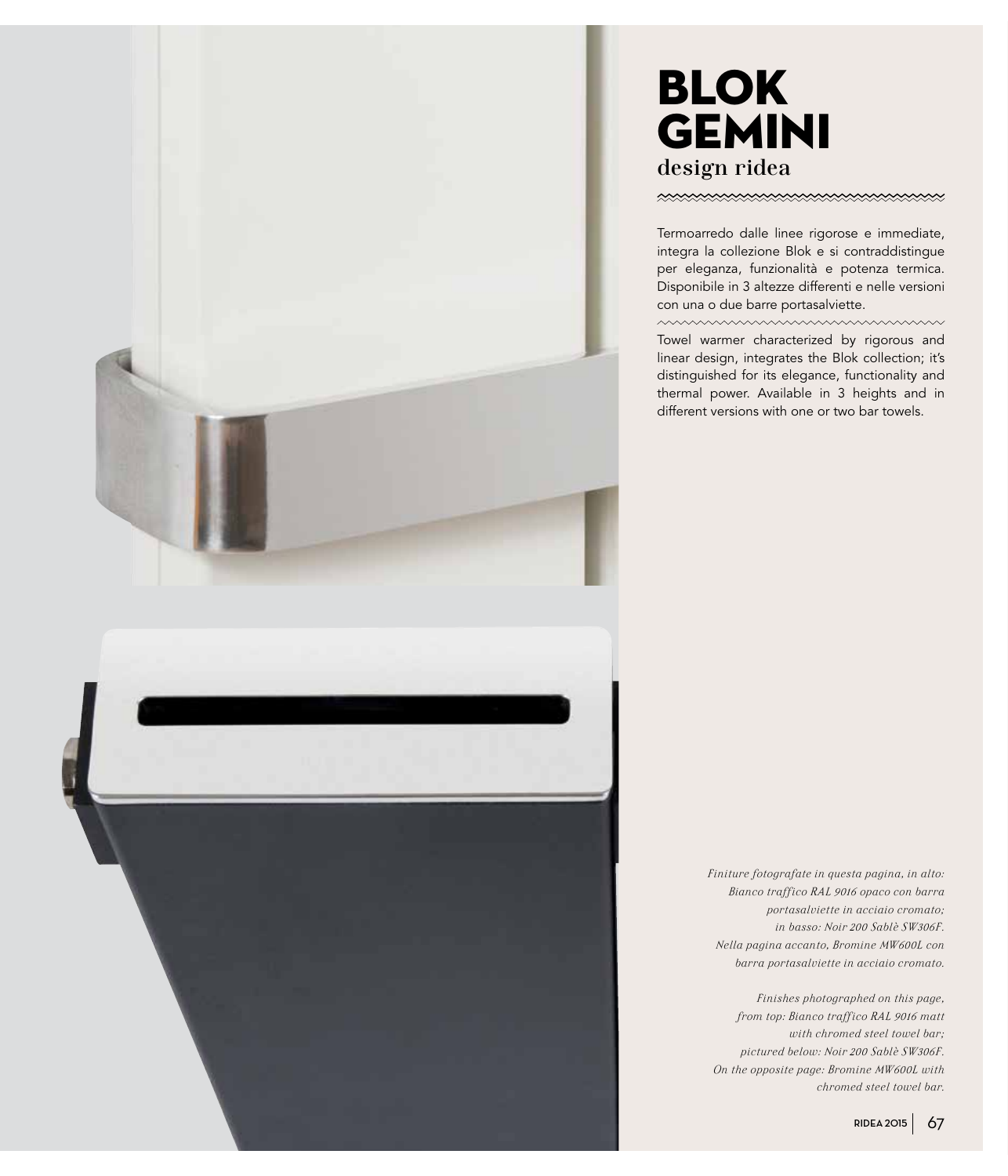

## blok **GEMINI design ridea**

#### 

Termoarredo dalle linee rigorose e immediate, integra la collezione Blok e si contraddistingue per eleganza, funzionalità e potenza termica. Disponibile in 3 altezze differenti e nelle versioni con una o due barre portasalviette.

*mmmmmmmmmmmmm* 

Towel warmer characterized by rigorous and linear design, integrates the Blok collection; it's distinguished for its elegance, functionality and thermal power. Available in 3 heights and in different versions with one or two bar towels.

> *Finiture fotografate in questa pagina, in alto: Bianco traffico RAL 9016 opaco con barra portasalviette in acciaio cromato; in basso: Noir 200 Sablè SW306F. Nella pagina accanto, Bromine MW600L con barra portasalviette in acciaio cromato.*

*Finishes photographed on this page, from top: Bianco traffico RAL 9016 matt with chromed steel towel bar; pictured below: Noir 200 Sablè SW306F. On the opposite page: Bromine MW600L with chromed steel towel bar.*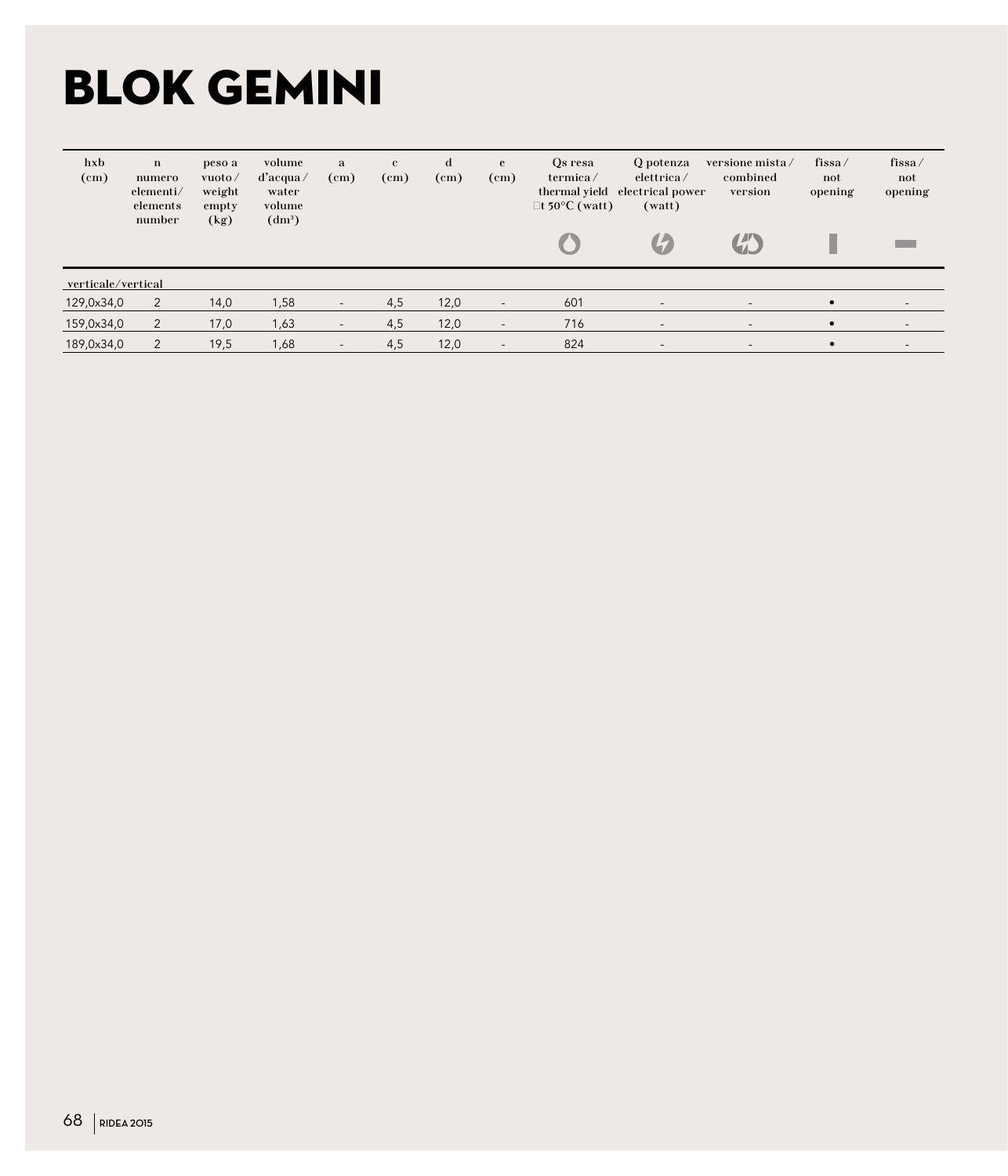# blok gemini

| hxb<br>(cm)        | $\mathbf n$<br>numero<br>elementi/<br>elements<br>number | peso a<br>vuoto/<br>weight<br>empty<br>(kg) | volume<br>d'acqua /<br>water<br>volume<br>(dm <sup>3</sup> ) | a<br>$\text{(cm)}$       | $\mathbf{c}$<br>$\text{(cm)}$ | d<br>$\text{(cm)}$ | e<br>$\text{(cm)}$       | Os resa<br>termica/<br>thermal yield<br>$\Box t$ 50 $\degree$ C (watt) | O potenza<br>elettrica/<br>electrical power<br>(watt) | versione mista/<br>combined<br>version | fissa/<br>not<br>opening | fissa/<br>not<br>opening |
|--------------------|----------------------------------------------------------|---------------------------------------------|--------------------------------------------------------------|--------------------------|-------------------------------|--------------------|--------------------------|------------------------------------------------------------------------|-------------------------------------------------------|----------------------------------------|--------------------------|--------------------------|
|                    |                                                          |                                             |                                                              |                          |                               |                    |                          |                                                                        | $\boldsymbol{C}$                                      | 42                                     |                          |                          |
| verticale/vertical |                                                          |                                             |                                                              |                          |                               |                    |                          |                                                                        |                                                       |                                        |                          |                          |
| 129,0x34,0         | $\overline{2}$                                           | 14,0                                        | 1,58                                                         | $\sim$                   | 4,5                           | 12,0               | $\overline{\phantom{a}}$ | 601                                                                    | $\overline{\phantom{0}}$                              | $\overline{\phantom{a}}$               |                          | $\overline{\phantom{a}}$ |
| 159,0x34,0         | $\overline{2}$                                           | 17,0                                        | 1,63                                                         | ٠.                       | 4,5                           | 12,0               | $\overline{\phantom{a}}$ | 716                                                                    | $\overline{\phantom{0}}$                              | $\sim$                                 | $\bullet$                | $\overline{\phantom{a}}$ |
| 189,0x34,0         | $\overline{2}$                                           | 19,5                                        | 1,68                                                         | $\overline{\phantom{a}}$ | 4,5                           | 12,0               | $\overline{\phantom{a}}$ | 824                                                                    | $\overline{\phantom{0}}$                              | $\overline{\phantom{0}}$               | $\bullet$                |                          |